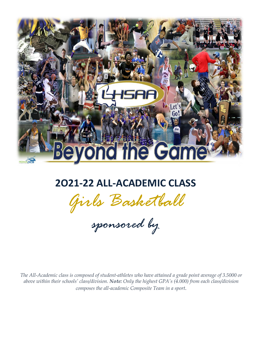

# **2O21-22 ALL-ACADEMIC CLASS**

*Girls Basketball*

*sponsored by*

 *The All-Academic class is composed of student-athletes who have attained a grade point average of 3.5000 or above within their schools' class/division. Note: Only the highest GPA's (4.000) from each class/division composes the all-academic Composite Team in a sport.*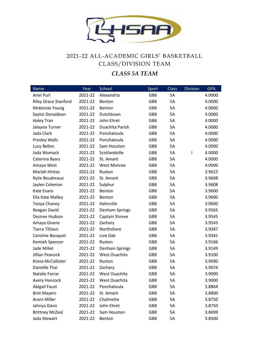

## 2021-22 ALL-ACADEMIC GIRLS' BASKETBALL CLASS/DIVISION TEAM

#### *CLASS 5A TEAM*

| Name                        | Year    | School                 | Sport | <b>Class</b> | <b>Division</b> | <b>GPA</b> |
|-----------------------------|---------|------------------------|-------|--------------|-----------------|------------|
| <b>Ariel Purl</b>           | 2021-22 | Alexandria             | GBB   | 5A           |                 | 4.0000     |
| <b>Riley Grace Stanford</b> | 2021-22 | Benton                 | GBB   | 5A           |                 | 4.0000     |
| McKenzie Young              | 2021-22 | Benton                 | GBB   | 5A           |                 | 4.0000     |
| Saylor Donaldson            | 2021-22 | Dutchtown              | GBB   | 5A           |                 | 4.0000     |
| <b>Haley Tran</b>           | 2021-22 | John Ehret             | GBB   | 5A           |                 | 4.0000     |
| Jalaysia Turner             | 2021-22 | <b>Ouachita Parish</b> | GBB   | 5A           |                 | 4.0000     |
| Jada Clark                  | 2021-22 | Ponchatoula            | GBB   | 5A           |                 | 4.0000     |
| Presley Walls               | 2021-22 | Ponchatoula            | GBB   | 5A           |                 | 4.0000     |
| Lucy Bellon                 | 2021-22 | Sam Houston            | GBB   | 5A           |                 | 4.0000     |
| Jada Womack                 | 2021-22 | Scotlandville          | GBB   | 5A           | I               | 4.0000     |
| Caterina Byars              | 2021-22 | St. Amant              | GBB   | 5A           |                 | 4.0000     |
| Amaya West                  | 2021-22 | <b>West Monroe</b>     | GBB   | 5A           |                 | 4.0000     |
| Mariah Hintze               | 2021-22 | Ruston                 | GBB   | 5A           |                 | 3.9615     |
| Rylie Boudreaux             | 2021-22 | St. Amant              | GBB   | 5A           |                 | 3.9608     |
| Jaylen Coleman              | 2021-22 | Sulphur                | GBB   | 5A           |                 | 3.9608     |
| Kate Evans                  | 2021-22 | Benton                 | GBB   | 5A           |                 | 3.9600     |
| Ella Kate Malley            | 2021-22 | Benton                 | GBB   | 5A           |                 | 3.9600     |
| Tonya Chaney                | 2021-22 | Hahnville              | GBB   | 5A           |                 | 3.9600     |
| Reagan David                | 2021-22 | Denham Springs         | GBB   | 5A           |                 | 3.9565     |
| Desiree Hudson              | 2021-22 | Captain Shreve         | GBB   | 5A           |                 | 3.9545     |
| Amaya Givens                | 2021-22 | Zachary                | GBB   | 5A           |                 | 3.9545     |
| <b>Tiarra Tillison</b>      | 2021-22 | Northshore             | GBB   | 5A           |                 | 3.9347     |
| Caroline Bouquet            | 2021-22 | Live Oak               | GBB   | 5A           |                 | 3.9341     |
| Kemiah Spencer              | 2021-22 | Ruston                 | GBB   | 5A           |                 | 3.9166     |
| Jade Millet                 | 2021-22 | Denham Springs         | GBB   | 5A           |                 | 3.9149     |
| <b>Jillian Peacock</b>      | 2021-22 | West Ouachita          | GBB   | 5A           |                 | 3.9100     |
| Kiona McCallister           | 2021-22 | Ruston                 | GBB   | 5A           |                 | 3.9090     |
| Danielle Thai               | 2021-22 | Zachary                | GBB   | 5A           |                 | 3.9074     |
| Natalie Farrar              | 2021-22 | West Ouachita          | GBB   | 5A           |                 | 3.9000     |
| <b>Avery Hancock</b>        | 2021-22 | West Ouachita          | GBB   | 5A           |                 | 3.9000     |
| <b>Abigail Faust</b>        | 2021-22 | Ponchatoula            | GBB   | 5A           |                 | 3.8864     |
| <b>Bret Mayers</b>          | 2021-22 | St. Amant              | GBB   | 5A           |                 | 3.8800     |
| Avani Miller                | 2021-22 | Chalmette              | GBB   | 5A           |                 | 3.8750     |
| Jahnya Davis                | 2021-22 | John Ehret             | GBB   | 5A           |                 | 3.8750     |
| <b>Brittney McZeal</b>      | 2021-22 | Sam Houston            | GBB   | 5A           |                 | 3.8699     |
| Jada Stewart                | 2021-22 | Benton                 | GBB   | 5A           |                 | 3.8500     |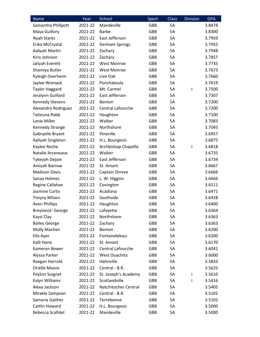| <b>Name</b>            | Year    | School               | Sport      | <b>Class</b> | <b>Division</b> | <b>GPA</b> |
|------------------------|---------|----------------------|------------|--------------|-----------------|------------|
| Samantha Phillpott     | 2021-22 | Mandeville           | GBB        | 5A           |                 | 3.8478     |
| Maya Guillory          | 2021-22 | <b>Barbe</b>         | <b>GBB</b> | 5A           |                 | 3.8300     |
| Nyah Starks            | 2021-22 | East Jefferson       | GBB        | 5A           |                 | 3.7959     |
| Erika McCrystal        | 2021-22 | Denham Springs       | <b>GBB</b> | 5A           |                 | 3.7955     |
| Aaliyah Martin         | 2021-22 | Zachary              | GBB        | 5A           |                 | 3.7948     |
| Kiris Johnson          | 2021-22 | Zachary              | <b>GBB</b> | 5A           |                 | 3.7857     |
| Jaliyah Everett        | 2021-22 | <b>West Monroe</b>   | GBB        | <b>5A</b>    |                 | 3.7735     |
| Shamiya Butler         | 2021-22 | <b>West Monroe</b>   | <b>GBB</b> | 5A           |                 | 3.7673     |
| Kyleigh Overheim       | 2021-22 | Live Oak             | GBB        | 5A           |                 | 3.7660     |
| Jaylee Womack          | 2021-22 | Ponchatoula          | <b>GBB</b> | 5A           |                 | 3.7619     |
| <b>Taylor Haggard</b>  | 2021-22 | Mt. Carmel           | GBB        | <b>5A</b>    | T               | 3.7500     |
| Jeralynn Guillard      | 2021-22 | East Jefferson       | <b>GBB</b> | 5A           |                 | 3.7307     |
| <b>Kennedy Stevens</b> | 2021-22 | Benton               | GBB        | 5A           |                 | 3.7200     |
| Alexandra Rodriguez    | 2021-22 | Central Lafourche    | <b>GBB</b> | 5A           |                 | 3.7200     |
| Taiteuna Rabb          | 2021-22 | Haughton             | GBB        | <b>5A</b>    |                 | 3.7100     |
| Lanie Miller           | 2021-22 | Walker               | <b>GBB</b> | 5A           |                 | 3.7083     |
| Kennedy Strange        | 2021-22 | Northshore           | GBB        | 5A           |                 | 3.7045     |
| Gabryelle Bryant       | 2021-22 | Pineville            | <b>GBB</b> | 5A           |                 | 3.6957     |
| Aaliyah Singleton      | 2021-22 | H.L. Bourgeois       | <b>GBB</b> | <b>5A</b>    |                 | 3.6875     |
| Kaylee Roche           | 2021-22 | Archbishop Chapelle  | <b>GBB</b> | 5A           | I               | 3.6818     |
| Natalie Arceneaux      | 2021-22 | Walker               | GBB        | 5A           |                 | 3.6735     |
| Tykeyah Dejoie         | 2021-22 | East Jefferson       | <b>GBB</b> | 5A           |                 | 3.6734     |
| Amiyah Barrow          | 2021-22 | St. Amant            | GBB        | 5A           |                 | 3.6667     |
| <b>Madison Davis</b>   | 2021-22 | Captain Shreve       | <b>GBB</b> | 5A           |                 | 3.6666     |
| Sanaa Holmes           | 2021-22 | L. W. Higgins        | GBB        | 5A           |                 | 3.6666     |
| Regine Callahan        | 2021-22 | Covington            | <b>GBB</b> | 5A           |                 | 3.6511     |
| Jasmine Curtis         | 2021-22 | Acadiana             | GBB        | 5A           |                 | 3.6471     |
| Timyra Wilson          | 2021-22 | Southside            | <b>GBB</b> | <b>5A</b>    |                 | 3.6428     |
| <b>Averi Phillips</b>  | 2021-22 | Haughton             | <b>GBB</b> | <b>5A</b>    |                 | 3.6400     |
| Breyionce' George      | 2021-22 | Lafayette            | <b>GBB</b> | 5A           |                 | 3.6364     |
| Kaysi Clay             | 2021-22 | Northshore           | <b>GBB</b> | 5A           |                 | 3.6363     |
| <b>Bailey George</b>   | 2021-22 | Zachary              | GBB        | 5A           |                 | 3.6363     |
| Molly Machen           | 2021-22 | Benton               | GBB        | 5A           |                 | 3.6200     |
| Ella Ayer              | 2021-22 | Fontainebleau        | <b>GBB</b> | 5A           |                 | 3.6200     |
| Kalli Hano             | 2021-22 | St. Amant            | GBB        | 5A           |                 | 3.6170     |
| Kameryn Bower          | 2021-22 | Central Lafourche    | <b>GBB</b> | 5A           |                 | 3.6041     |
| Alyssa Parker          | 2021-22 | West Ouachita        | GBB        | 5A           |                 | 3.6000     |
| Raegan Harrold         | 2021-22 | Hahnville            | GBB        | 5A           |                 | 3.5833     |
| Orielle Moore          | 2021-22 | Central - B.R.       | GBB        | 5A           |                 | 3.5625     |
| Peyton Soignet         | 2021-22 | St. Joseph's Academy | GBB        | 5A           | L               | 3.5610     |
| Kalyn Williams         | 2021-22 | Scotlandville        | <b>GBB</b> | 5A           | T               | 3.5416     |
| Alexa Jackson          | 2021-22 | Natchitoches Central | GBB        | 5A           |                 | 3.5405     |
| Mirakle Sampson        | 2021-22 | Central - B.R.       | GBB        | 5A           |                 | 3.5102     |
| Samaria Gaither        | 2021-22 | Terrebonne           | GBB        | 5A           |                 | 3.5102     |
| Caitlin Howard         | 2021-22 | H.L. Bourgeois       | GBB        | 5A           |                 | 3.5000     |
| Rebecca Scafidel       | 2021-22 | Mandeville           | GBB        | 5A           |                 | 3.5000     |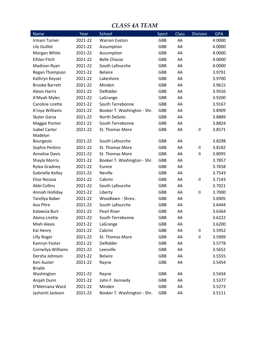#### *CLASS 4A TEAM*

| <b>Name</b>           | Year    | School                      | Sport      | Class | <b>Division</b> | <b>GPA</b> |
|-----------------------|---------|-----------------------------|------------|-------|-----------------|------------|
| Irmani Turner         | 2021-22 | <b>Warren Easton</b>        | <b>GBB</b> | 4A    |                 | 4.0000     |
| Lily Guillot          | 2021-22 | Assumption                  | GBB        | 4A    |                 | 4.0000     |
| Morgan White          | 2021-22 | Assumption                  | <b>GBB</b> | 4A    |                 | 4.0000     |
| <b>Eihlan Fitch</b>   | 2021-22 | <b>Belle Chasse</b>         | <b>GBB</b> | 4A    |                 | 4.0000     |
| Madison Ryan          | 2021-22 | South Lafourche             | GBB        | 4A    |                 | 4.0000     |
| Regan Thompson        | 2021-22 | <b>Belaire</b>              | <b>GBB</b> | 4A    |                 | 3.9791     |
| Kathryn Keyser        | 2021-22 | Lakeshore                   | <b>GBB</b> | 4A    |                 | 3.9700     |
| <b>Brooke Barrett</b> | 2021-22 | Minden                      | <b>GBB</b> | 4A    |                 | 3.9615     |
| <b>Alexis Harris</b>  | 2021-22 | DeRidder                    | GBB        | 4A    |                 | 3.9556     |
| A'Myah Myles          | 2021-22 | LaGrange                    | <b>GBB</b> | 4A    |                 | 3.9200     |
| Caroline Lirette      | 2021-22 | South Terrebonne            | GBB        | 4A    |                 | 3.9167     |
| A'niya Williams       | 2021-22 | Booker T. Washington - Shr. | <b>GBB</b> | 4A    |                 | 3.8909     |
| Skyler Garza          | 2021-22 | North DeSoto                | GBB        | 4A    |                 | 3.8889     |
| Maggie Portier        | 2021-22 | South Terrebonne            | <b>GBB</b> | 4A    |                 | 3.8824     |
| <b>Isabel Carter</b>  | 2021-22 | St. Thomas More             | GBB        | 4A    | $\sf II$        | 3.8571     |
| Madelyn               |         |                             |            |       |                 |            |
| <b>Bourgeois</b>      | 2021-22 | South Lafourche             | <b>GBB</b> | 4A    |                 | 3.8298     |
| Sophia Perkins        | 2021-22 | St. Thomas More             | GBB        | 4A    | $\sf II$        | 3.8182     |
| <b>Annelise Davis</b> | 2021-22 | St. Thomas More             | <b>GBB</b> | 4A    | $\sf II$        | 3.8095     |
| Shayla Morris         | 2021-22 | Booker T. Washington - Shr. | GBB        | 4A    |                 | 3.7857     |
| Rylea Gradney         | 2021-22 | Eunice                      | <b>GBB</b> | 4A    |                 | 3.7658     |
| Gabrielle Kelley      | 2021-22 | Neville                     | GBB        | 4A    |                 | 3.7543     |
| Elise Nicosia         | 2021-22 | Cabrini                     | <b>GBB</b> | 4A    | $\sf II$        | 3.7143     |
| Abbi Collins          | 2021-22 | South Lafourche             | GBB        | 4A    |                 | 3.7021     |
| Anniah Holliday       | 2021-22 | Liberty                     | <b>GBB</b> | 4A    | $\sf II$        | 3.7000     |
| Tarellya Baber        | 2021-22 | Woodlawn - Shrev.           | GBB        | 4A    |                 | 3.6905     |
| Ava Pitre             | 2021-22 | South Lafourche             | <b>GBB</b> | 4A    |                 | 3.6444     |
| Kalawsia Burt         | 2021-22 | Pearl River                 | GBB        | 4A    |                 | 3.6364     |
| Alaina Lirette        | 2021-22 | South Terrebonne            | GBB        | 4A    |                 | 3.6222     |
| <b>Miah Alexis</b>    | 2021-22 | LaGrange                    | GBB        | 4A    |                 | 3.6200     |
| Kai Henry             | 2021-22 | Cabrini                     | GBB        | 4A    | $\sf II$        | 3.5952     |
| Lilly Roger           | 2021-22 | St. Thomas More             | GBB        | 4A    | $\sf II$        | 3.5909     |
| Kamryn Foster         | 2021-22 | DeRidder                    | GBB        | 4A    |                 | 3.5778     |
| Corneilya Williams    | 2021-22 | Leesville                   | GBB        | 4A    |                 | 3.5652     |
| Dersha Johnson        | 2021-22 | <b>Belaire</b>              | GBB        | 4A    |                 | 3.5555     |
| Keri Auster           | 2021-22 | Rayne                       | GBB        | 4A    |                 | 3.5454     |
| <b>Brialle</b>        |         |                             |            |       |                 |            |
| Washington            | 2021-22 | Rayne                       | GBB        | 4A    |                 | 3.5434     |
| Anijah Dunn           | 2021-22 | John F. Kennedy             | GBB        | 4A    |                 | 3.5377     |
| D'Metriana Ward       | 2021-22 | Minden                      | GBB        | 4A    |                 | 3.5273     |
| Jashonti Jackson      | 2021-22 | Booker T. Washington - Shr. | GBB        | 4A    |                 | 3.5111     |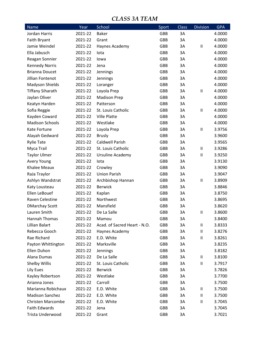#### *CLASS 3A TEAM*

| <b>Baker</b><br>Jordan Harris<br>2021-22<br><b>GBB</b><br>3A<br>4.0000<br><b>GBB</b><br>3A<br>Faith Bryant<br>2021-22<br>4.0000<br>Grant<br>Jamie Weindel<br>2021-22<br>GBB<br>3A<br>Ш<br>4.0000<br>Haynes Academy<br>Ella Jabusch<br>2021-22<br><b>GBB</b><br>3A<br>4.0000<br>lota<br>2021-22<br>GBB<br>3A<br>4.0000<br>Reagan Sonnier<br>lowa<br>2021-22<br><b>GBB</b><br>3A<br><b>Kennedy Norris</b><br>4.0000<br>Jena<br><b>Brianna Doucet</b><br>2021-22<br>GBB<br>3A<br>4.0000<br>Jennings<br>Jillian Fontenot<br>2021-22<br><b>GBB</b><br>3A<br>Jennings<br>4.0000<br>Madyson Shields<br>2021-22<br>GBB<br>3A<br>4.0000<br>Loranger<br>2021-22<br><b>GBB</b><br>3A<br><b>Tiffany Siharath</b><br>Loyola Prep<br>Ш<br>4.0000<br>Jaylan Oliver<br>2021-22<br><b>Madison Prep</b><br>GBB<br>3A<br>4.0000<br><b>GBB</b><br>3A<br>Keatyn Harden<br>2021-22<br>Patterson<br>4.0000<br>2021-22<br>St. Louis Catholic<br>GBB<br>3A<br>Ш<br>4.0000<br>Sofia Reggie<br>2021-22<br><b>Ville Platte</b><br><b>GBB</b><br>3A<br>Kayden Coward<br>4.0000<br>Westlake<br><b>Madison Schools</b><br>2021-22<br>GBB<br>3A<br>4.0000<br>Kate Fortune<br>2021-22<br>Loyola Prep<br>GBB<br>3A<br>Ш<br>3.9756<br>Alayah Gedward<br>2021-22<br>GBB<br>3A<br>3.9600<br><b>Brusly</b><br>2021-22<br><b>Caldwell Parish</b><br>3A<br><b>Rylie Tate</b><br><b>GBB</b><br>3.9565<br>St. Louis Catholic<br>Myca Trail<br>2021-22<br>GBB<br>3A<br>Ш<br>3.9286<br><b>Taylor Ulmer</b><br>2021-22<br>Ursuline Academy<br>GBB<br>3A<br>$\sf II$<br>3.9250<br>2021-22<br>GBB<br>3A<br>3.9130<br><b>Avery Young</b><br>lota<br>2021-22<br>3A<br><b>Khalee Meaux</b><br>Crowley<br>GBB<br>3.9090<br>2021-22<br><b>Union Parish</b><br>RaJa Traylor<br>GBB<br>3A<br>3.9047<br>Ashlyn Wandstrat<br>2021-22<br>Archbishop Hannan<br>GBB<br>3A<br>$\sf II$<br>3.8909 |
|--------------------------------------------------------------------------------------------------------------------------------------------------------------------------------------------------------------------------------------------------------------------------------------------------------------------------------------------------------------------------------------------------------------------------------------------------------------------------------------------------------------------------------------------------------------------------------------------------------------------------------------------------------------------------------------------------------------------------------------------------------------------------------------------------------------------------------------------------------------------------------------------------------------------------------------------------------------------------------------------------------------------------------------------------------------------------------------------------------------------------------------------------------------------------------------------------------------------------------------------------------------------------------------------------------------------------------------------------------------------------------------------------------------------------------------------------------------------------------------------------------------------------------------------------------------------------------------------------------------------------------------------------------------------------------------------------------------------------------------------------------------------------------------------------------------------------------------|
|                                                                                                                                                                                                                                                                                                                                                                                                                                                                                                                                                                                                                                                                                                                                                                                                                                                                                                                                                                                                                                                                                                                                                                                                                                                                                                                                                                                                                                                                                                                                                                                                                                                                                                                                                                                                                                      |
|                                                                                                                                                                                                                                                                                                                                                                                                                                                                                                                                                                                                                                                                                                                                                                                                                                                                                                                                                                                                                                                                                                                                                                                                                                                                                                                                                                                                                                                                                                                                                                                                                                                                                                                                                                                                                                      |
|                                                                                                                                                                                                                                                                                                                                                                                                                                                                                                                                                                                                                                                                                                                                                                                                                                                                                                                                                                                                                                                                                                                                                                                                                                                                                                                                                                                                                                                                                                                                                                                                                                                                                                                                                                                                                                      |
|                                                                                                                                                                                                                                                                                                                                                                                                                                                                                                                                                                                                                                                                                                                                                                                                                                                                                                                                                                                                                                                                                                                                                                                                                                                                                                                                                                                                                                                                                                                                                                                                                                                                                                                                                                                                                                      |
|                                                                                                                                                                                                                                                                                                                                                                                                                                                                                                                                                                                                                                                                                                                                                                                                                                                                                                                                                                                                                                                                                                                                                                                                                                                                                                                                                                                                                                                                                                                                                                                                                                                                                                                                                                                                                                      |
|                                                                                                                                                                                                                                                                                                                                                                                                                                                                                                                                                                                                                                                                                                                                                                                                                                                                                                                                                                                                                                                                                                                                                                                                                                                                                                                                                                                                                                                                                                                                                                                                                                                                                                                                                                                                                                      |
|                                                                                                                                                                                                                                                                                                                                                                                                                                                                                                                                                                                                                                                                                                                                                                                                                                                                                                                                                                                                                                                                                                                                                                                                                                                                                                                                                                                                                                                                                                                                                                                                                                                                                                                                                                                                                                      |
|                                                                                                                                                                                                                                                                                                                                                                                                                                                                                                                                                                                                                                                                                                                                                                                                                                                                                                                                                                                                                                                                                                                                                                                                                                                                                                                                                                                                                                                                                                                                                                                                                                                                                                                                                                                                                                      |
|                                                                                                                                                                                                                                                                                                                                                                                                                                                                                                                                                                                                                                                                                                                                                                                                                                                                                                                                                                                                                                                                                                                                                                                                                                                                                                                                                                                                                                                                                                                                                                                                                                                                                                                                                                                                                                      |
|                                                                                                                                                                                                                                                                                                                                                                                                                                                                                                                                                                                                                                                                                                                                                                                                                                                                                                                                                                                                                                                                                                                                                                                                                                                                                                                                                                                                                                                                                                                                                                                                                                                                                                                                                                                                                                      |
|                                                                                                                                                                                                                                                                                                                                                                                                                                                                                                                                                                                                                                                                                                                                                                                                                                                                                                                                                                                                                                                                                                                                                                                                                                                                                                                                                                                                                                                                                                                                                                                                                                                                                                                                                                                                                                      |
|                                                                                                                                                                                                                                                                                                                                                                                                                                                                                                                                                                                                                                                                                                                                                                                                                                                                                                                                                                                                                                                                                                                                                                                                                                                                                                                                                                                                                                                                                                                                                                                                                                                                                                                                                                                                                                      |
|                                                                                                                                                                                                                                                                                                                                                                                                                                                                                                                                                                                                                                                                                                                                                                                                                                                                                                                                                                                                                                                                                                                                                                                                                                                                                                                                                                                                                                                                                                                                                                                                                                                                                                                                                                                                                                      |
|                                                                                                                                                                                                                                                                                                                                                                                                                                                                                                                                                                                                                                                                                                                                                                                                                                                                                                                                                                                                                                                                                                                                                                                                                                                                                                                                                                                                                                                                                                                                                                                                                                                                                                                                                                                                                                      |
|                                                                                                                                                                                                                                                                                                                                                                                                                                                                                                                                                                                                                                                                                                                                                                                                                                                                                                                                                                                                                                                                                                                                                                                                                                                                                                                                                                                                                                                                                                                                                                                                                                                                                                                                                                                                                                      |
|                                                                                                                                                                                                                                                                                                                                                                                                                                                                                                                                                                                                                                                                                                                                                                                                                                                                                                                                                                                                                                                                                                                                                                                                                                                                                                                                                                                                                                                                                                                                                                                                                                                                                                                                                                                                                                      |
|                                                                                                                                                                                                                                                                                                                                                                                                                                                                                                                                                                                                                                                                                                                                                                                                                                                                                                                                                                                                                                                                                                                                                                                                                                                                                                                                                                                                                                                                                                                                                                                                                                                                                                                                                                                                                                      |
|                                                                                                                                                                                                                                                                                                                                                                                                                                                                                                                                                                                                                                                                                                                                                                                                                                                                                                                                                                                                                                                                                                                                                                                                                                                                                                                                                                                                                                                                                                                                                                                                                                                                                                                                                                                                                                      |
|                                                                                                                                                                                                                                                                                                                                                                                                                                                                                                                                                                                                                                                                                                                                                                                                                                                                                                                                                                                                                                                                                                                                                                                                                                                                                                                                                                                                                                                                                                                                                                                                                                                                                                                                                                                                                                      |
|                                                                                                                                                                                                                                                                                                                                                                                                                                                                                                                                                                                                                                                                                                                                                                                                                                                                                                                                                                                                                                                                                                                                                                                                                                                                                                                                                                                                                                                                                                                                                                                                                                                                                                                                                                                                                                      |
|                                                                                                                                                                                                                                                                                                                                                                                                                                                                                                                                                                                                                                                                                                                                                                                                                                                                                                                                                                                                                                                                                                                                                                                                                                                                                                                                                                                                                                                                                                                                                                                                                                                                                                                                                                                                                                      |
|                                                                                                                                                                                                                                                                                                                                                                                                                                                                                                                                                                                                                                                                                                                                                                                                                                                                                                                                                                                                                                                                                                                                                                                                                                                                                                                                                                                                                                                                                                                                                                                                                                                                                                                                                                                                                                      |
|                                                                                                                                                                                                                                                                                                                                                                                                                                                                                                                                                                                                                                                                                                                                                                                                                                                                                                                                                                                                                                                                                                                                                                                                                                                                                                                                                                                                                                                                                                                                                                                                                                                                                                                                                                                                                                      |
|                                                                                                                                                                                                                                                                                                                                                                                                                                                                                                                                                                                                                                                                                                                                                                                                                                                                                                                                                                                                                                                                                                                                                                                                                                                                                                                                                                                                                                                                                                                                                                                                                                                                                                                                                                                                                                      |
| 2021-22<br><b>Berwick</b><br>GBB<br>3A<br>3.8846<br>Katy Lousteau                                                                                                                                                                                                                                                                                                                                                                                                                                                                                                                                                                                                                                                                                                                                                                                                                                                                                                                                                                                                                                                                                                                                                                                                                                                                                                                                                                                                                                                                                                                                                                                                                                                                                                                                                                    |
| Ellen LeBouef<br>2021-22<br>3A<br><b>GBB</b><br>3.8750<br>Kaplan                                                                                                                                                                                                                                                                                                                                                                                                                                                                                                                                                                                                                                                                                                                                                                                                                                                                                                                                                                                                                                                                                                                                                                                                                                                                                                                                                                                                                                                                                                                                                                                                                                                                                                                                                                     |
| Raven Celestine<br>2021-22<br>Northwest<br>GBB<br>3A<br>3.8695                                                                                                                                                                                                                                                                                                                                                                                                                                                                                                                                                                                                                                                                                                                                                                                                                                                                                                                                                                                                                                                                                                                                                                                                                                                                                                                                                                                                                                                                                                                                                                                                                                                                                                                                                                       |
| Mansfield<br><b>GBB</b><br>3A<br><b>DMarchay Scott</b><br>2021-22<br>3.8620                                                                                                                                                                                                                                                                                                                                                                                                                                                                                                                                                                                                                                                                                                                                                                                                                                                                                                                                                                                                                                                                                                                                                                                                                                                                                                                                                                                                                                                                                                                                                                                                                                                                                                                                                          |
| Lauren Smith<br>2021-22<br>De La Salle<br><b>GBB</b><br>3A<br>3.8600<br>Ш                                                                                                                                                                                                                                                                                                                                                                                                                                                                                                                                                                                                                                                                                                                                                                                                                                                                                                                                                                                                                                                                                                                                                                                                                                                                                                                                                                                                                                                                                                                                                                                                                                                                                                                                                            |
| Hannah Thomas<br>GBB<br>3A<br>2021-22<br>Mamou<br>3.8400                                                                                                                                                                                                                                                                                                                                                                                                                                                                                                                                                                                                                                                                                                                                                                                                                                                                                                                                                                                                                                                                                                                                                                                                                                                                                                                                                                                                                                                                                                                                                                                                                                                                                                                                                                             |
| Lillian Balart<br>2021-22<br>Acad. of Sacred Heart - N.O.<br>GBB<br>3A<br>Ш<br>3.8333                                                                                                                                                                                                                                                                                                                                                                                                                                                                                                                                                                                                                                                                                                                                                                                                                                                                                                                                                                                                                                                                                                                                                                                                                                                                                                                                                                                                                                                                                                                                                                                                                                                                                                                                                |
| Rebecca Gooch<br>2021-22<br>GBB<br>3A<br>3.8276<br>Haynes Academy<br>Ш                                                                                                                                                                                                                                                                                                                                                                                                                                                                                                                                                                                                                                                                                                                                                                                                                                                                                                                                                                                                                                                                                                                                                                                                                                                                                                                                                                                                                                                                                                                                                                                                                                                                                                                                                               |
| Rae Richard<br>2021-22<br>E.D. White<br>Ш<br>GBB<br>3A<br>3.8261                                                                                                                                                                                                                                                                                                                                                                                                                                                                                                                                                                                                                                                                                                                                                                                                                                                                                                                                                                                                                                                                                                                                                                                                                                                                                                                                                                                                                                                                                                                                                                                                                                                                                                                                                                     |
| Marksville<br>Payton Whittington<br>GBB<br>3A<br>2021-22<br>3.8235                                                                                                                                                                                                                                                                                                                                                                                                                                                                                                                                                                                                                                                                                                                                                                                                                                                                                                                                                                                                                                                                                                                                                                                                                                                                                                                                                                                                                                                                                                                                                                                                                                                                                                                                                                   |
| Ellen Duhon<br>2021-22<br>3A<br>Jennings<br>GBB<br>3.8182                                                                                                                                                                                                                                                                                                                                                                                                                                                                                                                                                                                                                                                                                                                                                                                                                                                                                                                                                                                                                                                                                                                                                                                                                                                                                                                                                                                                                                                                                                                                                                                                                                                                                                                                                                            |
| Alana Dumas<br>2021-22<br>De La Salle<br>GBB<br>3A<br>3.8100<br>Ш                                                                                                                                                                                                                                                                                                                                                                                                                                                                                                                                                                                                                                                                                                                                                                                                                                                                                                                                                                                                                                                                                                                                                                                                                                                                                                                                                                                                                                                                                                                                                                                                                                                                                                                                                                    |
| Shelby Willis<br>2021-22<br>St. Louis Catholic<br>3A<br>Ш<br>GBB<br>3.7917                                                                                                                                                                                                                                                                                                                                                                                                                                                                                                                                                                                                                                                                                                                                                                                                                                                                                                                                                                                                                                                                                                                                                                                                                                                                                                                                                                                                                                                                                                                                                                                                                                                                                                                                                           |
| Lily Eues<br>2021-22<br><b>Berwick</b><br>GBB<br>3A<br>3.7826                                                                                                                                                                                                                                                                                                                                                                                                                                                                                                                                                                                                                                                                                                                                                                                                                                                                                                                                                                                                                                                                                                                                                                                                                                                                                                                                                                                                                                                                                                                                                                                                                                                                                                                                                                        |
| Kayley Robertson<br>2021-22<br>Westlake<br>GBB<br>3A<br>3.7700                                                                                                                                                                                                                                                                                                                                                                                                                                                                                                                                                                                                                                                                                                                                                                                                                                                                                                                                                                                                                                                                                                                                                                                                                                                                                                                                                                                                                                                                                                                                                                                                                                                                                                                                                                       |
| Carroll<br>Arianna Jones<br>2021-22<br>GBB<br>3A<br>3.7500                                                                                                                                                                                                                                                                                                                                                                                                                                                                                                                                                                                                                                                                                                                                                                                                                                                                                                                                                                                                                                                                                                                                                                                                                                                                                                                                                                                                                                                                                                                                                                                                                                                                                                                                                                           |
| Marianna Robichaux<br>2021-22<br>E.D. White<br>GBB<br>3A<br>Ш<br>3.7500                                                                                                                                                                                                                                                                                                                                                                                                                                                                                                                                                                                                                                                                                                                                                                                                                                                                                                                                                                                                                                                                                                                                                                                                                                                                                                                                                                                                                                                                                                                                                                                                                                                                                                                                                              |
| <b>Madison Sanchez</b><br>2021-22<br>E.D. White<br>GBB<br>3A<br>Ш<br>3.7500                                                                                                                                                                                                                                                                                                                                                                                                                                                                                                                                                                                                                                                                                                                                                                                                                                                                                                                                                                                                                                                                                                                                                                                                                                                                                                                                                                                                                                                                                                                                                                                                                                                                                                                                                          |
| <b>Christen Marcombe</b><br>2021-22<br>E.D. White<br>GBB<br>3A<br>Ш<br>3.7045                                                                                                                                                                                                                                                                                                                                                                                                                                                                                                                                                                                                                                                                                                                                                                                                                                                                                                                                                                                                                                                                                                                                                                                                                                                                                                                                                                                                                                                                                                                                                                                                                                                                                                                                                        |
| <b>Faith Edwards</b><br>2021-22<br>GBB<br>3A<br>Jena<br>3.7045                                                                                                                                                                                                                                                                                                                                                                                                                                                                                                                                                                                                                                                                                                                                                                                                                                                                                                                                                                                                                                                                                                                                                                                                                                                                                                                                                                                                                                                                                                                                                                                                                                                                                                                                                                       |
| Trista Underwood<br>2021-22<br>GBB<br>Grant<br>3A<br>3.7021                                                                                                                                                                                                                                                                                                                                                                                                                                                                                                                                                                                                                                                                                                                                                                                                                                                                                                                                                                                                                                                                                                                                                                                                                                                                                                                                                                                                                                                                                                                                                                                                                                                                                                                                                                          |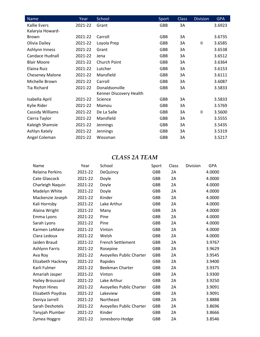| Name               | Year    | School                  | Sport      | <b>Class</b> | <b>Division</b> | <b>GPA</b> |
|--------------------|---------|-------------------------|------------|--------------|-----------------|------------|
| Kallie Evers       | 2021-22 | Grant                   | <b>GBB</b> | 3A           |                 | 3.6923     |
| Kalaryia Howard-   |         |                         |            |              |                 |            |
| Brown              | 2021-22 | Carroll                 | GBB        | 3A           |                 | 3.6735     |
| Olivia Dailey      | 2021-22 | Loyola Prep             | <b>GBB</b> | 3A           | $\mathbf{I}$    | 3.6585     |
| Ashlynn Inness     | 2021-22 | Grant                   | <b>GBB</b> | 3A           |                 | 3.6538     |
| Candace Hudnall    | 2021-22 | Jena                    | <b>GBB</b> | 3A           |                 | 3.6512     |
| <b>Blair Moore</b> | 2021-22 | Church Point            | <b>GBB</b> | 3A           |                 | 3.6364     |
| Elaina Ruiz        | 2021-22 | Lutcher                 | <b>GBB</b> | 3A           |                 | 3.6153     |
| Cheseney Malone    | 2021-22 | Mansfield               | <b>GBB</b> | 3A           |                 | 3.6111     |
| Michelle Brown     | 2021-22 | Carroll                 | <b>GBB</b> | 3A           |                 | 3.6087     |
| <b>Tia Richard</b> | 2021-22 | Donaldsonville          | <b>GBB</b> | 3A           |                 | 3.5833     |
|                    |         | Kenner Discovery Health |            |              |                 |            |
| Isabella April     | 2021-22 | Science                 | GBB        | 3A           |                 | 3.5833     |
| Kylie Rider        | 2021-22 | Mamou                   | GBB        | 3A           |                 | 3.5769     |
| Cassidy Williams   | 2021-22 | De La Salle             | <b>GBB</b> | 3A           | $\mathbf{I}$    | 3.5600     |
| Cierra Taylor      | 2021-22 | Mansfield               | <b>GBB</b> | 3A           |                 | 3.5555     |
| Kaleigh Shamsie    | 2021-22 | Jennings                | <b>GBB</b> | 3A           |                 | 3.5435     |
| Ashlyn Kately      | 2021-22 | <b>Jennings</b>         | <b>GBB</b> | 3A           |                 | 3.5319     |
| Angel Coleman      | 2021-22 | Wossman                 | <b>GBB</b> | 3A           |                 | 3.5217     |

# *CLASS 2A TEAM*

| Name                    | Year    | School                   | Sport      | Class | Division | <b>GPA</b> |
|-------------------------|---------|--------------------------|------------|-------|----------|------------|
| <b>Relaina Perkins</b>  | 2021-22 | <b>DeQuincy</b>          | <b>GBB</b> | 2A    |          | 4.0000     |
| Cate Glascock           | 2021-22 | Doyle                    | GBB        | 2A    |          | 4.0000     |
| Charleigh Naquin        | 2021-22 | Doyle                    | GBB        | 2A    |          | 4.0000     |
| Madelyn White           | 2021-22 | Doyle                    | GBB        | 2A    |          | 4.0000     |
| Mackenzie Joseph        | 2021-22 | Kinder                   | <b>GBB</b> | 2A    |          | 4.0000     |
| Kali Hornsby            | 2021-22 | Lake Arthur              | GBB        | 2A    |          | 4.0000     |
| Alaina Wright           | 2021-22 | Many                     | GBB        | 2A    |          | 4.0000     |
| Emma Lyons              | 2021-22 | Pine                     | GBB        | 2A    |          | 4.0000     |
| Sarah Lyons             | 2021-22 | Pine                     | <b>GBB</b> | 2A    |          | 4.0000     |
| Karmen LeMaire          | 2021-22 | Vinton                   | GBB        | 2A    |          | 4.0000     |
| Clara Ledoux            | 2021-22 | Welsh                    | <b>GBB</b> | 2A    |          | 4.0000     |
| Jaiden Braud            | 2021-22 | <b>French Settlement</b> | GBB        | 2A    |          | 3.9767     |
| <b>Ashlynn Farris</b>   | 2021-22 | Rosepine                 | <b>GBB</b> | 2A    |          | 3.9629     |
| Ava Roy                 | 2021-22 | Avoyelles Public Charter | GBB        | 2A    |          | 3.9545     |
| Elizabeth Hackney       | 2021-22 | Rapides                  | <b>GBB</b> | 2A    |          | 3.9400     |
| Karli Fulmer            | 2021-22 | Beekman Charter          | GBB        | 2A    |          | 3.9375     |
| Amariah Jasper          | 2021-22 | Vinton                   | <b>GBB</b> | 2A    |          | 3.9300     |
| <b>Hailey Broussard</b> | 2021-22 | Lake Arthur              | GBB        | 2A    |          | 3.9250     |
| Peyton Hines            | 2021-22 | Avoyelles Public Charter | <b>GBB</b> | 2A    |          | 3.9091     |
| Elizabeth Poydras       | 2021-22 | Lakeview                 | GBB        | 2A    |          | 3.9091     |
| Deniya Jarrell          | 2021-22 | Northeast                | <b>GBB</b> | 2A    |          | 3.8888     |
| Sarah Deshotels         | 2021-22 | Avoyelles Public Charter | GBB        | 2A    |          | 3.8696     |
| Tanyjah Plumber         | 2021-22 | Kinder                   | <b>GBB</b> | 2A    |          | 3.8666     |
| Zymea Hoggro            | 2021-22 | Jonesboro-Hodge          | GBB        | 2A    |          | 3.8546     |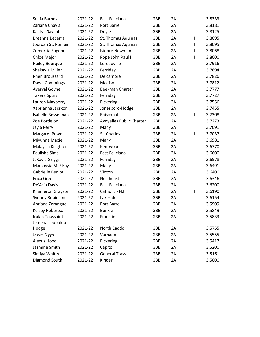| Senia Barnes            | 2021-22 | East Feliciana           | <b>GBB</b> | 2A |                | 3.8333 |
|-------------------------|---------|--------------------------|------------|----|----------------|--------|
| Zariaha Chavis          | 2021-22 | Port Barre               | GBB        | 2A |                | 3.8181 |
| Kaitlyn Savant          | 2021-22 | Doyle                    | <b>GBB</b> | 2A |                | 3.8125 |
| Breanna Becerra         | 2021-22 | St. Thomas Aquinas       | GBB        | 2A | Ш              | 3.8095 |
| Jourdan St. Romain      | 2021-22 | St. Thomas Aquinas       | <b>GBB</b> | 2A | Ш              | 3.8095 |
| Zomorria Eugene         | 2021-22 | Isidore Newman           | GBB        | 2A | III            | 3.8068 |
| Chloe Major             | 2021-22 | Pope John Paul II        | <b>GBB</b> | 2A | Ш              | 3.8000 |
| <b>Hailey Bourque</b>   | 2021-22 | Loreauville              | <b>GBB</b> | 2A |                | 3.7916 |
| Shekayla Miller         | 2021-22 | Ferriday                 | <b>GBB</b> | 2A |                | 3.7894 |
| Rhen Broussard          | 2021-22 | Delcambre                | GBB        | 2A |                | 3.7826 |
| Dawn Commings           | 2021-22 | Madison                  | <b>GBB</b> | 2A |                | 3.7812 |
| Averyal Goyne           | 2021-22 | Beekman Charter          | <b>GBB</b> | 2A |                | 3.7777 |
| <b>Takera Spurs</b>     | 2021-22 | Ferriday                 | <b>GBB</b> | 2A |                | 3.7727 |
| Lauren Mayberry         | 2021-22 | Pickering                | GBB        | 2A |                | 3.7556 |
| Xabrianna Jacskon       | 2021-22 | Jonesboro-Hodge          | <b>GBB</b> | 2A |                | 3.7455 |
| Isabelle Besselman      | 2021-22 | Episcopal                | <b>GBB</b> | 2A | $\mathbf{III}$ | 3.7308 |
| Zoe Bordelon            | 2021-22 | Avoyelles Public Charter | <b>GBB</b> | 2A |                | 3.7273 |
| Jayla Perry             | 2021-22 | Many                     | GBB        | 2A |                | 3.7091 |
| Margaret Powell         | 2021-22 | St. Charles              | <b>GBB</b> | 2A | $\mathbf{III}$ | 3.7037 |
| Miyunna Maxie           | 2021-22 | Many                     | <b>GBB</b> | 2A |                | 3.6981 |
| Malaysia Knighten       | 2021-22 | Kentwood                 | <b>GBB</b> | 2A |                | 3.6770 |
| Paulisha Sims           | 2021-22 | East Feliciana           | GBB        | 2A |                | 3.6600 |
| JaKayla Griggs          | 2021-22 | Ferriday                 | <b>GBB</b> | 2A |                | 3.6578 |
| Markaysia McElroy       | 2021-22 | Many                     | <b>GBB</b> | 2A |                | 3.6491 |
| Gabrielle Beniot        | 2021-22 | Vinton                   | <b>GBB</b> | 2A |                | 3.6400 |
| Erica Green             | 2021-22 | Northeast                | GBB        | 2A |                | 3.6346 |
| De'Asia Davis           | 2021-22 | East Feliciana           | <b>GBB</b> | 2A |                | 3.6200 |
| Khameron Grayson        | 2021-22 | Catholic - N.I.          | GBB        | 2A | $\mathbf{III}$ | 3.6190 |
| Sydney Robinson         | 2021-22 | Lakeside                 | <b>GBB</b> | 2A |                | 3.6154 |
| Abriana Zerangue        | 2021-22 | Port Barre               | <b>GBB</b> | 2A |                | 3.5909 |
| Kelsey Robertson        | 2021-22 | <b>Bunkie</b>            | GBB        | 2A |                | 3.5849 |
| <b>Irulan Toussaint</b> | 2021-22 | Franklin                 | GBB        | 2A |                | 3.5833 |
| Jemena Leopoldo-        |         |                          |            |    |                |        |
| Hodge                   | 2021-22 | North Caddo              | GBB        | 2A |                | 3.5755 |
| Jakyra Diggs            | 2021-22 | Varnado                  | GBB        | 2A |                | 3.5555 |
| Alexus Hood             | 2021-22 | Pickering                | GBB        | 2A |                | 3.5417 |
| Jazmine Smith           | 2021-22 | Capitol                  | GBB        | 2A |                | 3.5200 |
| Simiya Whitty           | 2021-22 | <b>General Trass</b>     | GBB        | 2A |                | 3.5161 |
| Diamond South           | 2021-22 | Kinder                   | GBB        | 2A |                | 3.5000 |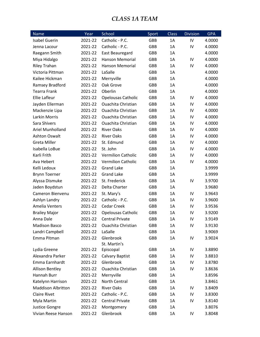### *CLASS 1A TEAM*

| Name                      | Year    | School                    | Sport      | <b>Class</b> | <b>Division</b> | <b>GPA</b> |
|---------------------------|---------|---------------------------|------------|--------------|-----------------|------------|
| <b>Isabel Guerin</b>      | 2021-22 | Catholic - P.C.           | GBB        | 1A           | IV              | 4.0000     |
| Jenna Lacour              | 2021-22 | Catholic - P.C.           | GBB        | 1A           | IV              | 4.0000     |
| Raegann Smith             | 2021-22 | East Beauregard           | GBB        | 1A           |                 | 4.0000     |
| Miya Hidalgo              | 2021-22 | <b>Hanson Memorial</b>    | <b>GBB</b> | 1A           | IV              | 4.0000     |
| <b>Riley Trahan</b>       | 2021-22 | <b>Hanson Memorial</b>    | <b>GBB</b> | 1A           | IV              | 4.0000     |
| Victoria Pittman          | 2021-22 | LaSalle                   | <b>GBB</b> | 1A           |                 | 4.0000     |
| Kailee Hickman            | 2021-22 | Merryville                | GBB        | 1A           |                 | 4.0000     |
| Ramsey Bradford           | 2021-22 | Oak Grove                 | <b>GBB</b> | 1A           |                 | 4.0000     |
| <b>Tearra Frank</b>       | 2021-22 | Oberlin                   | GBB        | 1A           |                 | 4.0000     |
| <b>Ellie Lafleur</b>      | 2021-22 | <b>Opelousas Catholic</b> | <b>GBB</b> | 1A           | IV              | 4.0000     |
| Jayden Ellerman           | 2021-22 | <b>Ouachita Christian</b> | <b>GBB</b> | 1A           | IV              | 4.0000     |
| Mackenzie Lipa            | 2021-22 | Ouachita Christian        | GBB        | 1A           | IV              | 4.0000     |
| <b>Larkin Morris</b>      | 2021-22 | <b>Ouachita Christian</b> | <b>GBB</b> | 1A           | IV              | 4.0000     |
| Sara Shivers              | 2021-22 | Ouachita Christian        | <b>GBB</b> | 1A           | IV              | 4.0000     |
| Ariel Munholland          | 2021-22 | <b>River Oaks</b>         | GBB        | 1A           | IV              | 4.0000     |
| <b>Ashton Oswalt</b>      | 2021-22 | <b>River Oaks</b>         | <b>GBB</b> | 1A           | IV              | 4.0000     |
| <b>Greta Miller</b>       | 2021-22 | St. Edmund                | GBB        | 1A           | IV              | 4.0000     |
| Isabella LoBue            | 2021-22 | St. John                  | <b>GBB</b> | 1A           | IV              | 4.0000     |
| Karli Frith               | 2021-22 | <b>Vermilion Catholic</b> | <b>GBB</b> | 1A           | IV              | 4.0000     |
| Ava Hebert                | 2021-22 | <b>Vermilion Catholic</b> | GBB        | 1A           | IV              | 4.0000     |
| Kelli Ledoux              | 2021-22 | <b>Grand Lake</b>         | GBB        | 1A           |                 | 3.9999     |
| <b>Brynn Toerner</b>      | 2021-22 | <b>Grand Lake</b>         | <b>GBB</b> | 1A           |                 | 3.9999     |
| Alyssa Dismuke            | 2021-22 | St. Frederick             | GBB        | 1A           | IV              | 3.9700     |
| Jaden Boydstun            | 2021-22 | Delta Charter             | <b>GBB</b> | 1A           |                 | 3.9680     |
| Cameron Bienvenu          | 2021-22 | St. Mary's                | GBB        | 1A           | IV              | 3.9643     |
| Ashlyn Landry             | 2021-22 | Catholic - P.C.           | <b>GBB</b> | 1A           | IV              | 3.9600     |
| Amelia Venters            | 2021-22 | Cedar Creek               | GBB        | 1A           | IV              | 3.9536     |
| <b>Brailey Major</b>      | 2021-22 | <b>Opelousas Catholic</b> | <b>GBB</b> | 1A           | IV              | 3.9200     |
| Anna Dale                 | 2021-22 | <b>Central Private</b>    | <b>GBB</b> | 1A           | IV              | 3.9149     |
| <b>Madison Basco</b>      | 2021-22 | Ouachita Christian        | <b>GBB</b> | 1A           | IV              | 3.9130     |
| Landri Campbell           | 2021-22 | LaSalle                   | GBB        | 1A           |                 | 3.9069     |
| Emma Pitman               | 2021-22 | Glenbrook                 | <b>GBB</b> | 1A           | IV              | 3.9024     |
|                           |         | St. Martin's              |            |              |                 |            |
| Lydia Greene              | 2021-22 | Episcopal                 | GBB        | 1A           | IV              | 3.8890     |
| Alexandra Parker          | 2021-22 | Calvary Baptist           | GBB        | 1A           | IV              | 3.8810     |
| Emma Earnhardt            | 2021-22 | Glenbrook                 | GBB        | 1A           | IV              | 3.8780     |
| <b>Allison Bentley</b>    | 2021-22 | Ouachita Christian        | <b>GBB</b> | 1A           | IV              | 3.8636     |
| Hannah Burr               | 2021-22 | Merryville                | GBB        | 1A           |                 | 3.8596     |
| Katelynn Harrison         | 2021-22 | North Central             | GBB        | 1A           |                 | 3.8461     |
| <b>Maddison Albritton</b> | 2021-22 | <b>River Oaks</b>         | GBB        | 1A           | IV              | 3.8409     |
| <b>Claire Rivet</b>       | 2021-22 | Catholic - P.C.           | GBB        | 1A           | IV              | 3.8300     |
| Myla Martin               | 2021-22 | <b>Central Private</b>    | GBB        | 1A           | IV              | 3.8140     |
| Justice Gongre            | 2021-22 | Montgomery                | GBB        | 1A           |                 | 3.8076     |
| Vivian Reese Hanson       | 2021-22 | Glenbrook                 | GBB        | 1A           | IV              | 3.8048     |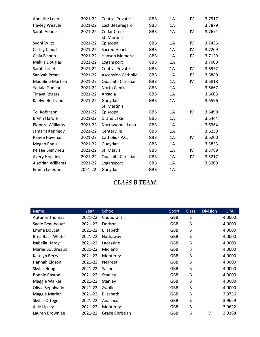| Annalise Leep            | 2021-22 | <b>Central Private</b>    | <b>GBB</b> | 1A | IV | 3.7917 |
|--------------------------|---------|---------------------------|------------|----|----|--------|
| Hayley Weaver            | 2021-22 | East Beauregard           | <b>GBB</b> | 1A |    | 3.7879 |
| Sarah Adams              | 2021-22 | <b>Cedar Creek</b>        | <b>GBB</b> | 1A | IV | 3.7674 |
|                          |         | St. Martin's              |            |    |    |        |
| Sydni Wiltz              | 2021-22 | Episcopal                 | <b>GBB</b> | 1A | IV | 3.7435 |
| Carley Cloud             | 2021-22 | <b>Sacred Heart</b>       | <b>GBB</b> | 1A | IV | 3.7209 |
| Celia Bishop             | 2021-22 | <b>Hanson Memorial</b>    | <b>GBB</b> | 1A | IV | 3.7129 |
| Malkia Douglas           | 2021-22 | Logansport                | <b>GBB</b> | 1A |    | 3.7000 |
| Sarah Israel             | 2021-22 | <b>Central Private</b>    | <b>GBB</b> | 1A | IV | 3.6957 |
| Saniyah Prean            | 2021-22 | <b>Ascension Catholic</b> | <b>GBB</b> | 1A | IV | 3.6889 |
| <b>Madeline Martien</b>  | 2021-22 | <b>Ouachita Christian</b> | <b>GBB</b> | 1A | IV | 3.6818 |
| Ya'Jaia Godeau           | 2021-22 | North Central             | <b>GBB</b> | 1A |    | 3.6667 |
| <b>Tinaya Rogers</b>     | 2021-22 | Arcadia                   | <b>GBB</b> | 1A |    | 3.6603 |
| Kaelyn Bertrand          | 2021-22 | Gueydan                   | <b>GBB</b> | 1A |    | 3.6596 |
|                          |         | St. Martin's              |            |    |    |        |
| Toi Robinson             | 2021-22 | Episcopal                 | <b>GBB</b> | 1A | IV | 3.6490 |
| <b>Brynn Hardie</b>      | 2021-22 | <b>Grand Lake</b>         | <b>GBB</b> | 1A |    | 3.6444 |
| Elondra Williams         | 2021-22 | Northwood - Lena          | <b>GBB</b> | 1A |    | 3.6364 |
| Jamaris Kennedy          | 2021-22 | Centerville               | <b>GBB</b> | 1A |    | 3.6250 |
| Renee Havenar            | 2021-22 | Catholic - P.C.           | <b>GBB</b> | 1A | IV | 3.6200 |
| Megan Ennis              | 2021-22 | Gueydan                   | <b>GBB</b> | 1A |    | 3.5833 |
| Kelsee Bienvneu          | 2021-22 | St. Mary's                | <b>GBB</b> | 1A | IV | 3.5789 |
| <b>Avery Hopkins</b>     | 2021-22 | <b>Ouachita Christian</b> | <b>GBB</b> | 1A | IV | 3.5217 |
| <b>Aladrian Williams</b> | 2021-22 | Logansport                | <b>GBB</b> | 1A |    | 3.5200 |
| Emma LeJeune             | 2021-22 | Gueydan                   | <b>GBB</b> | 1A |    |        |

*CLASS B TEAM*

| <b>Name</b>          | Year    | School          | Sport      | <b>Class</b> | <b>Division</b> | <b>GPA</b> |
|----------------------|---------|-----------------|------------|--------------|-----------------|------------|
| <b>Autumn Thomas</b> | 2021-22 | Choudrant       | <b>GBB</b> | B            |                 | 4.0000     |
| Sadie Beaubouef      | 2021-22 | Dodson          | <b>GBB</b> | B            |                 | 4.0000     |
| Emma Doucet          | 2021-22 | Elizabeth       | <b>GBB</b> | B            |                 | 4.0000     |
| Brea Baca-White      | 2021-22 | Hathaway        | <b>GBB</b> | B            |                 | 4.0000     |
| Isabella Hardy       | 2021-22 | Lacassine       | <b>GBB</b> | В            |                 | 4.0000     |
| Marlie Boudreaux     | 2021-22 | Midland         | <b>GBB</b> | B            |                 | 4.0000     |
| Katelyn Berry        | 2021-22 | Monterey        | <b>GBB</b> | B            |                 | 4.0000     |
| Hannah Eidson        | 2021-22 | Negreet         | <b>GBB</b> | В            |                 | 4.0000     |
| Skylar Hough         | 2021-22 | Saline          | <b>GBB</b> | B            |                 | 4.0000     |
| <b>Bonnie Caston</b> | 2021-22 | Stanley         | <b>GBB</b> | В            |                 | 4.0000     |
| Maggie Walker        | 2021-22 | Stanley         | GBB        | В            |                 | 4.0000     |
| Olivia Sepulvado     | 2021-22 | Zwolle          | <b>GBB</b> | B            |                 | 4.0000     |
| Maggie Marler        | 2021-22 | Elizabeth       | <b>GBB</b> | В            |                 | 3.9756     |
| Skylar Ortego        | 2021-22 | Anacoco         | <b>GBB</b> | В            |                 | 3.9629     |
| Allie Lipsey         | 2021-22 | Monterey        | <b>GBB</b> | В            |                 | 3.9622     |
| Lauren Brownlee      | 2021-22 | Grace Christian | GBB        | B            | ٧               | 3.9388     |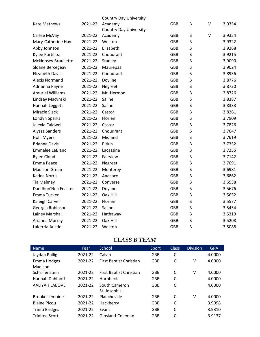|                             |         | <b>Country Day University</b> |            |   |         |        |
|-----------------------------|---------|-------------------------------|------------|---|---------|--------|
| <b>Kate Mathews</b>         | 2021-22 | Academy                       | <b>GBB</b> | B | V       | 3.9354 |
|                             |         | <b>Country Day University</b> |            |   |         |        |
| Carlee McVay                | 2021-22 | Academy                       | <b>GBB</b> | B | $\sf V$ | 3.9354 |
| Mary-Catherine Hay          | 2021-22 | Weston                        | <b>GBB</b> | B |         | 3.9322 |
| Abby Johnson                | 2021-22 | Elizabeth                     | <b>GBB</b> | B |         | 3.9268 |
| Kylee Portilloz             | 2021-22 | Choudrant                     | <b>GBB</b> | B |         | 3.9215 |
| <b>Mckinnsey Brouilette</b> | 2021-22 | Stanley                       | <b>GBB</b> | B |         | 3.9090 |
| Sloane Bercegeay            | 2021-22 | Maurepas                      | <b>GBB</b> | B |         | 3.9024 |
| <b>Elizabeth Davis</b>      | 2021-22 | Choudrant                     | <b>GBB</b> | B |         | 3.8936 |
| <b>Alexis Normand</b>       | 2021-22 | Doyline                       | <b>GBB</b> | B |         | 3.8776 |
| Adrianna Payne              | 2021-22 | Negreet                       | <b>GBB</b> | B |         | 3.8730 |
| <b>Amuriel Williams</b>     | 2021-22 | Mt. Hermon                    | <b>GBB</b> | B |         | 3.8726 |
| Lindsay Macynski            | 2021-22 | Saline                        | <b>GBB</b> | B |         | 3.8387 |
| Hannah Leggett              | 2021-22 | Saline                        | <b>GBB</b> | B |         | 3.8333 |
| <b>Miracle Slack</b>        | 2021-22 | Castor                        | <b>GBB</b> | B |         | 3.8261 |
| Londyn Sparks               | 2021-22 | Florien                       | <b>GBB</b> | B |         | 3.7909 |
| Jalexia Caldwell            | 2021-22 | Castor                        | <b>GBB</b> | B |         | 3.7826 |
| Alyssa Sanders              | 2021-22 | Choudrant                     | <b>GBB</b> | B |         | 3.7647 |
| <b>Holli Myers</b>          | 2021-22 | Midland                       | <b>GBB</b> | B |         | 3.7619 |
| <b>Brianna Davis</b>        | 2021-22 | Pitkin                        | <b>GBB</b> | B |         | 3.7352 |
| Emmalee LeBlanc             | 2021-22 | Lacassine                     | <b>GBB</b> | B |         | 3.7255 |
| <b>Rylee Cloud</b>          | 2021-22 | Fairview                      | <b>GBB</b> | B |         | 3.7142 |
| Emma Peace                  | 2021-22 | Negreet                       | <b>GBB</b> | B |         | 3.7091 |
| <b>Madison Green</b>        | 2021-22 | Monterey                      | <b>GBB</b> | B |         | 3.6981 |
| Kadee Norris                | 2021-22 | Anacoco                       | <b>GBB</b> | B |         | 3.6862 |
| Tia Malmay                  | 2021-22 | Converse                      | <b>GBB</b> | B |         | 3.6538 |
| Dae'Jhun'Nea Feaster        | 2021-22 | Doyline                       | <b>GBB</b> | B |         | 3.5676 |
| Emma Tucker                 | 2021-22 | Oak Hill                      | <b>GBB</b> | B |         | 3.5652 |
| Kaleigh Carver              | 2021-22 | Florien                       | <b>GBB</b> | B |         | 3.5577 |
| Georgia Robinson            | 2021-22 | Saline                        | <b>GBB</b> | B |         | 3.5454 |
| Lainey Marshall             | 2021-22 | Hathaway                      | <b>GBB</b> | B |         | 3.5319 |
| Arianna Murray              | 2021-22 | Oak Hill                      | <b>GBB</b> | B |         | 3.5208 |
| LaKerria Austin             | 2021-22 | Weston                        | <b>GBB</b> | B |         | 3.5088 |
|                             |         |                               |            |   |         |        |

#### *CLASS B TEAM*

| <b>Name</b>            | Year    | School                  | Sport      | <b>Class</b> | <b>Division</b> | <b>GPA</b> |
|------------------------|---------|-------------------------|------------|--------------|-----------------|------------|
| Jaydan Pullig          | 2021-22 | Calvin                  | <b>GBB</b> | C            |                 | 4.0000     |
| Emma Hodges            | 2021-22 | First Baptist Christian | <b>GBB</b> | C            | ٧               | 4.0000     |
| Madison                |         |                         |            |              |                 |            |
| Scharfenstein          | 2021-22 | First Baptist Christian | <b>GBB</b> | C            | ٧               | 4.0000     |
| Hannah Dahlhoff        | 2021-22 | <b>Hornbeck</b>         | GBB        | C            |                 | 4.0000     |
| <b>AALIYAH LABOVE</b>  | 2021-22 | South Cameron           | <b>GBB</b> | C            |                 | 4.0000     |
|                        |         | St. Joseph's -          |            |              |                 |            |
| <b>Brooke Lemoine</b>  | 2021-22 | Plaucheville            | GBB        | C            | v               | 4.0000     |
| <b>Blaine Picou</b>    | 2021-22 | Hackberry               | <b>GBB</b> | C            |                 | 3.9998     |
| <b>Triniti Bridges</b> | 2021-22 | Evans                   | <b>GBB</b> | C            |                 | 3.9310     |
| <b>Trinitee Scott</b>  | 2021-22 | Gibsland-Coleman        | <b>GBB</b> | C            |                 | 3.9137     |